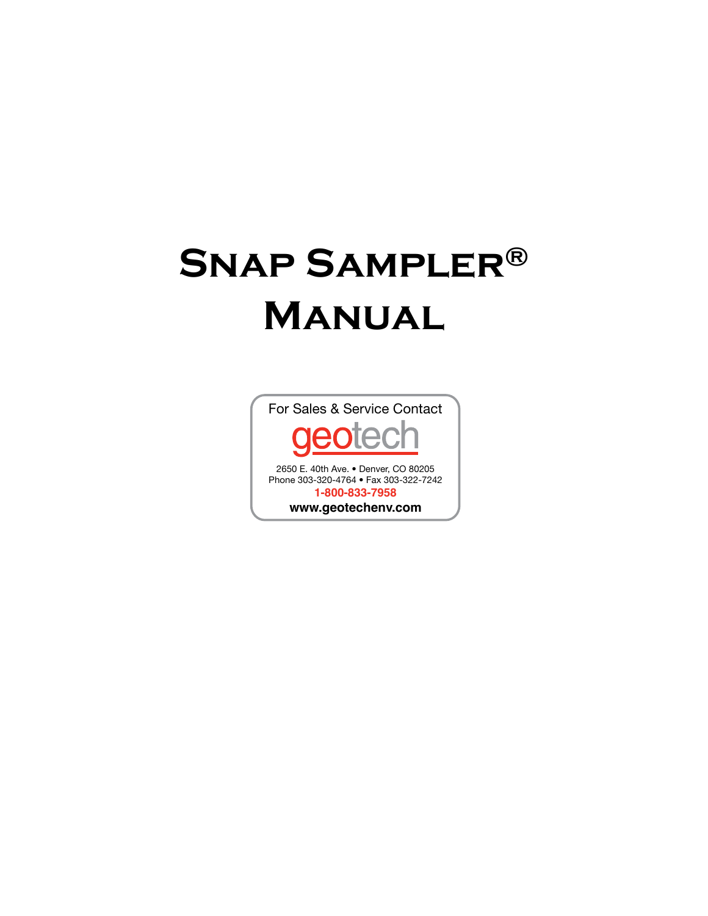# **Snap Sampler® Manual**

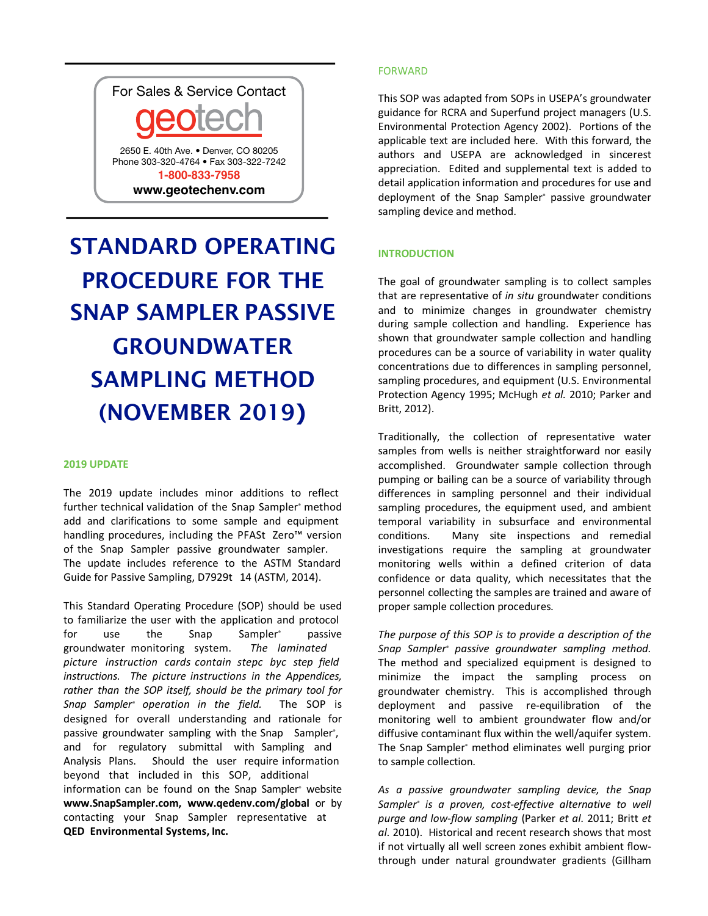

# STANDARD OPERATING PROCEDURE FOR THE SNAP SAMPLER PASSIVE GROUNDWATER SAMPLING METHOD (NOVEMBER 2019**)**

# **2019 UPDATE**

The 2019 update includes minor additions to reflect further technical validation of the Snap Sampler<sup>®</sup> method add and clarifications to some sample and equipment handling procedures, including the PFASt Zero™ version of the Snap Sampler passive groundwater sampler. The update includes reference to the ASTM Standard Guide for Passive Sampling, D7929t 14 (ASTM, 2014).

This Standard Operating Procedure (SOP) should be used to familiarize the user with the application and protocol for use the Snap Sampler<sup>®</sup> passive groundwater monitoring system. *The laminated picture instruction cards contain stepc byc step field instructions. The picture instructions in the Appendices, rather than the SOP itself, should be the primary tool for Snap Sampler® operation in the field.* The SOP is designed for overall understanding and rationale for passive groundwater sampling with the Snap Sampler<sup>®</sup>, and for regulatory submittal with Sampling and Analysis Plans. Should the user require information beyond that included in this SOP, additional information can be found on the Snap Sampler<sup>®</sup> website **www.SnapSampler.com, www.qedenv.com/global** or by contacting your Snap Sampler representative at **QED Environmental Systems, Inc.**

# FORWARD

This SOP was adapted from SOPs in USEPA's groundwater guidance for RCRA and Superfund project managers (U.S. Environmental Protection Agency 2002). Portions of the applicable text are included here. With this forward, the authors and USEPA are acknowledged in sincerest appreciation. Edited and supplemental text is added to detail application information and procedures for use and deployment of the Snap Sampler® passive groundwater sampling device and method.

# **INTRODUCTION**

The goal of groundwater sampling is to collect samples that are representative of *in situ* groundwater conditions and to minimize changes in groundwater chemistry during sample collection and handling. Experience has shown that groundwater sample collection and handling procedures can be a source of variability in water quality concentrations due to differences in sampling personnel, sampling procedures, and equipment (U.S. Environmental Protection Agency 1995; McHugh *et al.* 2010; Parker and Britt, 2012).

Traditionally, the collection of representative water samples from wells is neither straightforward nor easily accomplished. Groundwater sample collection through pumping or bailing can be a source of variability through differences in sampling personnel and their individual sampling procedures, the equipment used, and ambient temporal variability in subsurface and environmental conditions. Many site inspections and remedial investigations require the sampling at groundwater monitoring wells within a defined criterion of data confidence or data quality, which necessitates that the personnel collecting the samples are trained and aware of proper sample collection procedures.

*The purpose of this SOP is to provide a description of the Snap Sampler® passive groundwater sampling method.* The method and specialized equipment is designed to minimize the impact the sampling process on groundwater chemistry. This is accomplished through deployment and passive re-equilibration of the monitoring well to ambient groundwater flow and/or diffusive contaminant flux within the well/aquifer system. The Snap Sampler® method eliminates well purging prior to sample collection.

*As a passive groundwater sampling device, the Snap Sampler® is a proven, cost-effective alternative to well purge and low-flow sampling* (Parker *et al*. 2011; Britt *et al*. 2010). Historical and recent research shows that most if not virtually all well screen zones exhibit ambient flowthrough under natural groundwater gradients (Gillham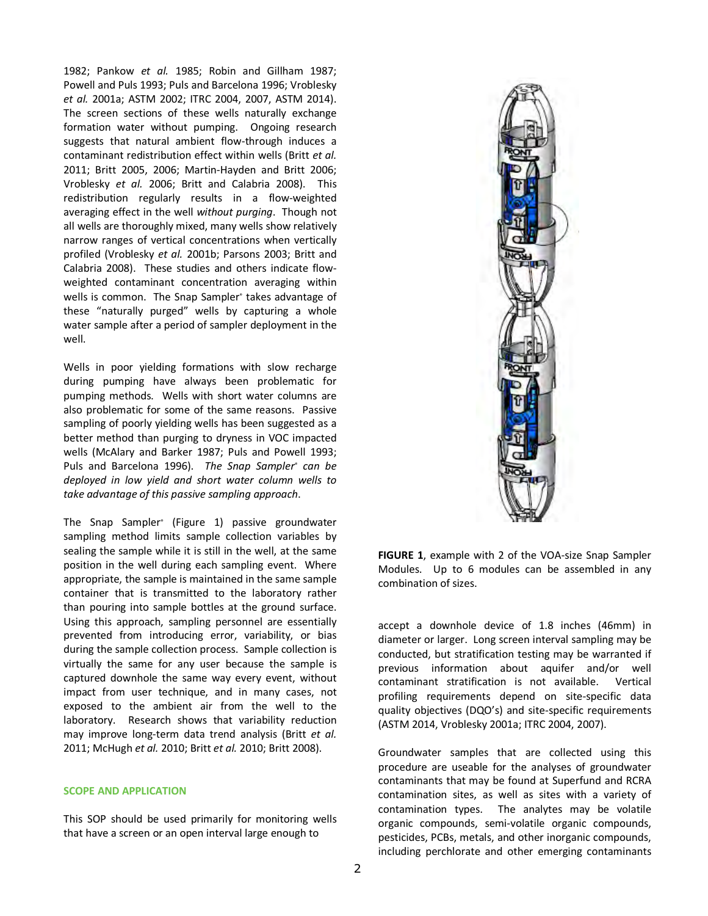1982; Pankow *et al.* 1985; Robin and Gillham 1987; Powell and Puls 1993; Puls and Barcelona 1996; Vroblesky *et al.* 2001a; ASTM 2002; ITRC 2004, 2007, ASTM 2014). The screen sections of these wells naturally exchange formation water without pumping. Ongoing research suggests that natural ambient flow-through induces a contaminant redistribution effect within wells (Britt *et al.* 2011; Britt 2005, 2006; Martin-Hayden and Britt 2006; Vroblesky *et al.* 2006; Britt and Calabria 2008). This redistribution regularly results in a flow-weighted averaging effect in the well *without purging*. Though not all wells are thoroughly mixed, many wells show relatively narrow ranges of vertical concentrations when vertically profiled (Vroblesky *et al.* 2001b; Parsons 2003; Britt and Calabria 2008). These studies and others indicate flowweighted contaminant concentration averaging within wells is common. The Snap Sampler<sup>®</sup> takes advantage of these "naturally purged" wells by capturing a whole water sample after a period of sampler deployment in the well.

Wells in poor yielding formations with slow recharge during pumping have always been problematic for pumping methods. Wells with short water columns are also problematic for some of the same reasons. Passive sampling of poorly yielding wells has been suggested as a better method than purging to dryness in VOC impacted wells (McAlary and Barker 1987; Puls and Powell 1993; Puls and Barcelona 1996). *The Snap Sampler® can be deployed in low yield and short water column wells to take advantage of this passive sampling approach*.

The Snap Sampler® (Figure 1) passive groundwater sampling method limits sample collection variables by sealing the sample while it is still in the well, at the same position in the well during each sampling event. Where appropriate, the sample is maintained in the same sample container that is transmitted to the laboratory rather than pouring into sample bottles at the ground surface. Using this approach, sampling personnel are essentially prevented from introducing error, variability, or bias during the sample collection process. Sample collection is virtually the same for any user because the sample is captured downhole the same way every event, without impact from user technique, and in many cases, not exposed to the ambient air from the well to the laboratory. Research shows that variability reduction may improve long-term data trend analysis (Britt *et al.* 2011; McHugh *et al.* 2010; Britt *et al.* 2010; Britt 2008).

#### **SCOPE AND APPLICATION**

This SOP should be used primarily for monitoring wells that have a screen or an open interval large enough to



**FIGURE 1**, example with 2 of the VOA-size Snap Sampler Modules. Up to 6 modules can be assembled in any combination of sizes.

accept a downhole device of 1.8 inches (46mm) in diameter or larger. Long screen interval sampling may be conducted, but stratification testing may be warranted if previous information about aquifer and/or well contaminant stratification is not available. Vertical profiling requirements depend on site-specific data quality objectives (DQO's) and site-specific requirements (ASTM 2014, Vroblesky 2001a; ITRC 2004, 2007).

Groundwater samples that are collected using this procedure are useable for the analyses of groundwater contaminants that may be found at Superfund and RCRA contamination sites, as well as sites with a variety of contamination types. The analytes may be volatile organic compounds, semi-volatile organic compounds, pesticides, PCBs, metals, and other inorganic compounds, including perchlorate and other emerging contaminants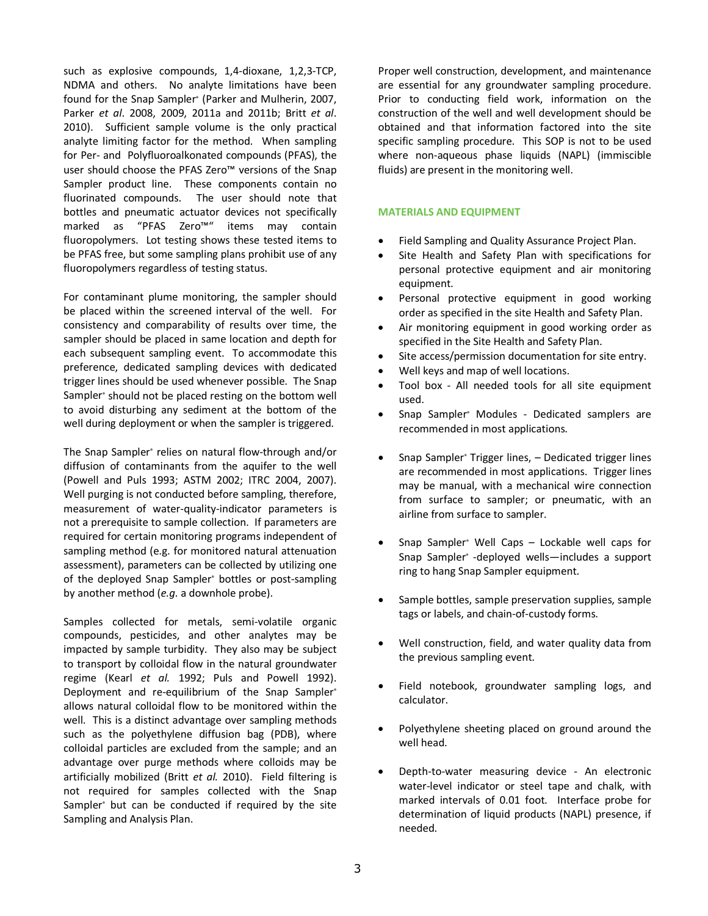such as explosive compounds, 1,4-dioxane, 1,2,3-TCP, NDMA and others. No analyte limitations have been found for the Snap Sampler<sup>®</sup> (Parker and Mulherin, 2007, Parker *et al*. 2008, 2009, 2011a and 2011b; Britt *et al*. 2010). Sufficient sample volume is the only practical analyte limiting factor for the method. When sampling for Per- and Polyfluoroalkonated compounds (PFAS), the user should choose the PFAS Zero™ versions of the Snap Sampler product line. These components contain no fluorinated compounds. The user should note that bottles and pneumatic actuator devices not specifically marked as "PFAS Zero™" items may contain fluoropolymers. Lot testing shows these tested items to be PFAS free, but some sampling plans prohibit use of any fluoropolymers regardless of testing status.

For contaminant plume monitoring, the sampler should be placed within the screened interval of the well. For consistency and comparability of results over time, the sampler should be placed in same location and depth for each subsequent sampling event. To accommodate this preference, dedicated sampling devices with dedicated trigger lines should be used whenever possible. The Snap Sampler<sup>®</sup> should not be placed resting on the bottom well to avoid disturbing any sediment at the bottom of the well during deployment or when the sampler is triggered.

The Snap Sampler® relies on natural flow-through and/or diffusion of contaminants from the aquifer to the well (Powell and Puls 1993; ASTM 2002; ITRC 2004, 2007). Well purging is not conducted before sampling, therefore, measurement of water-quality-indicator parameters is not a prerequisite to sample collection. If parameters are required for certain monitoring programs independent of sampling method (e.g. for monitored natural attenuation assessment), parameters can be collected by utilizing one of the deployed Snap Sampler<sup>®</sup> bottles or post-sampling by another method (*e.g.* a downhole probe).

Samples collected for metals, semi-volatile organic compounds, pesticides, and other analytes may be impacted by sample turbidity. They also may be subject to transport by colloidal flow in the natural groundwater regime (Kearl *et al.* 1992; Puls and Powell 1992). Deployment and re-equilibrium of the Snap Sampler® allows natural colloidal flow to be monitored within the well. This is a distinct advantage over sampling methods such as the polyethylene diffusion bag (PDB), where colloidal particles are excluded from the sample; and an advantage over purge methods where colloids may be artificially mobilized (Britt *et al.* 2010). Field filtering is not required for samples collected with the Snap Sampler<sup>®</sup> but can be conducted if required by the site Sampling and Analysis Plan.

Proper well construction, development, and maintenance are essential for any groundwater sampling procedure. Prior to conducting field work, information on the construction of the well and well development should be obtained and that information factored into the site specific sampling procedure. This SOP is not to be used where non-aqueous phase liquids (NAPL) (immiscible fluids) are present in the monitoring well.

### **MATERIALS AND EQUIPMENT**

- Field Sampling and Quality Assurance Project Plan.
- Site Health and Safety Plan with specifications for personal protective equipment and air monitoring equipment.
- Personal protective equipment in good working order as specified in the site Health and Safety Plan.
- Air monitoring equipment in good working order as specified in the Site Health and Safety Plan.
- Site access/permission documentation for site entry.
- Well keys and map of well locations.
- Tool box All needed tools for all site equipment used.
- Snap Sampler® Modules Dedicated samplers are recommended in most applications.
- Snap Sampler<sup>®</sup> Trigger lines, Dedicated trigger lines are recommended in most applications. Trigger lines may be manual, with a mechanical wire connection from surface to sampler; or pneumatic, with an airline from surface to sampler.
- Snap Sampler<sup>®</sup> Well Caps Lockable well caps for Snap Sampler® -deployed wells—includes a support ring to hang Snap Sampler equipment.
- Sample bottles, sample preservation supplies, sample tags or labels, and chain-of-custody forms.
- Well construction, field, and water quality data from the previous sampling event.
- Field notebook, groundwater sampling logs, and calculator.
- Polyethylene sheeting placed on ground around the well head.
- Depth-to-water measuring device An electronic water-level indicator or steel tape and chalk, with marked intervals of 0.01 foot. Interface probe for determination of liquid products (NAPL) presence, if needed.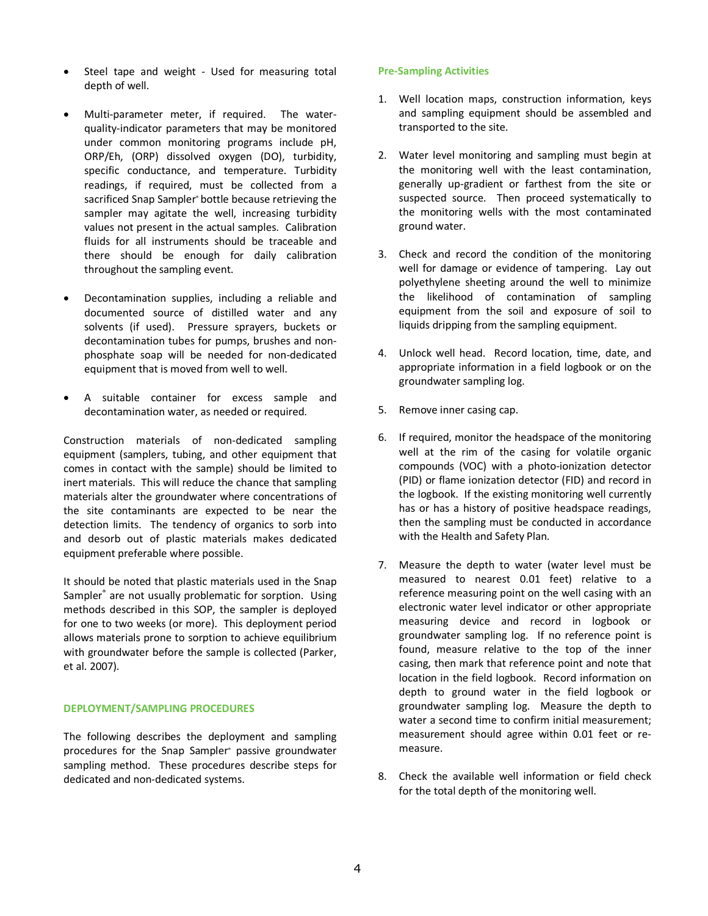- Steel tape and weight Used for measuring total depth of well.
- Multi-parameter meter, if required. The waterquality-indicator parameters that may be monitored under common monitoring programs include pH, ORP/Eh, (ORP) dissolved oxygen (DO), turbidity, specific conductance, and temperature. Turbidity readings, if required, must be collected from a sacrificed Snap Sampler<sup>®</sup> bottle because retrieving the sampler may agitate the well, increasing turbidity values not present in the actual samples. Calibration fluids for all instruments should be traceable and there should be enough for daily calibration throughout the sampling event.
- Decontamination supplies, including a reliable and documented source of distilled water and any solvents (if used). Pressure sprayers, buckets or decontamination tubes for pumps, brushes and nonphosphate soap will be needed for non-dedicated equipment that is moved from well to well.
- A suitable container for excess sample and decontamination water, as needed or required.

Construction materials of non-dedicated sampling equipment (samplers, tubing, and other equipment that comes in contact with the sample) should be limited to inert materials. This will reduce the chance that sampling materials alter the groundwater where concentrations of the site contaminants are expected to be near the detection limits. The tendency of organics to sorb into and desorb out of plastic materials makes dedicated equipment preferable where possible.

It should be noted that plastic materials used in the Snap Sampler<sup>®</sup> are not usually problematic for sorption. Using methods described in this SOP, the sampler is deployed for one to two weeks (or more). This deployment period allows materials prone to sorption to achieve equilibrium with groundwater before the sample is collected (Parker, et al. 2007).

### **DEPLOYMENT/SAMPLING PROCEDURES**

The following describes the deployment and sampling procedures for the Snap Sampler® passive groundwater sampling method. These procedures describe steps for dedicated and non-dedicated systems.

#### **Pre-Sampling Activities**

- 1. Well location maps, construction information, keys and sampling equipment should be assembled and transported to the site.
- 2. Water level monitoring and sampling must begin at the monitoring well with the least contamination, generally up-gradient or farthest from the site or suspected source. Then proceed systematically to the monitoring wells with the most contaminated ground water.
- 3. Check and record the condition of the monitoring well for damage or evidence of tampering. Lay out polyethylene sheeting around the well to minimize the likelihood of contamination of sampling equipment from the soil and exposure of soil to liquids dripping from the sampling equipment.
- 4. Unlock well head. Record location, time, date, and appropriate information in a field logbook or on the groundwater sampling log.
- 5. Remove inner casing cap.
- 6. If required, monitor the headspace of the monitoring well at the rim of the casing for volatile organic compounds (VOC) with a photo-ionization detector (PID) or flame ionization detector (FID) and record in the logbook. If the existing monitoring well currently has or has a history of positive headspace readings, then the sampling must be conducted in accordance with the Health and Safety Plan.
- 7. Measure the depth to water (water level must be measured to nearest 0.01 feet) relative to a reference measuring point on the well casing with an electronic water level indicator or other appropriate measuring device and record in logbook or groundwater sampling log. If no reference point is found, measure relative to the top of the inner casing, then mark that reference point and note that location in the field logbook. Record information on depth to ground water in the field logbook or groundwater sampling log. Measure the depth to water a second time to confirm initial measurement; measurement should agree within 0.01 feet or remeasure.
- 8. Check the available well information or field check for the total depth of the monitoring well.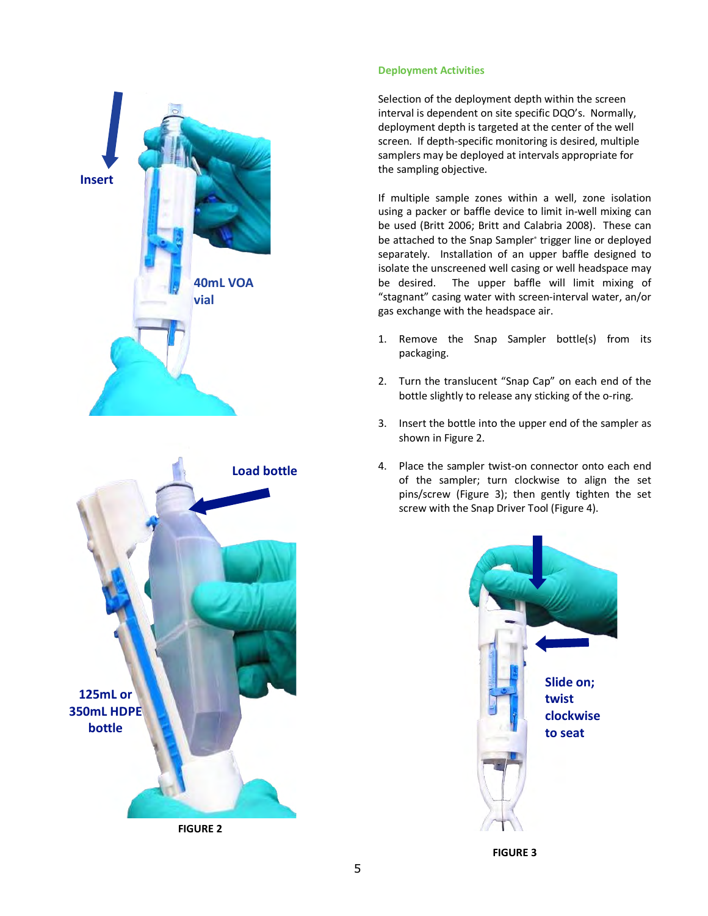



**FIGURE 2** 

### **Deployment Activities**

Selection of the deployment depth within the screen interval is dependent on site specific DQO's. Normally, deployment depth is targeted at the center of the well screen. If depth-specific monitoring is desired, multiple samplers may be deployed at intervals appropriate for the sampling objective.

If multiple sample zones within a well, zone isolation using a packer or baffle device to limit in-well mixing can be used (Britt 2006; Britt and Calabria 2008). These can be attached to the Snap Sampler<sup>®</sup> trigger line or deployed separately. Installation of an upper baffle designed to isolate the unscreened well casing or well headspace may be desired. The upper baffle will limit mixing of "stagnant" casing water with screen-interval water, an/or gas exchange with the headspace air.

- 1. Remove the Snap Sampler bottle(s) from its packaging.
- 2. Turn the translucent "Snap Cap" on each end of the bottle slightly to release any sticking of the o-ring.
- 3. Insert the bottle into the upper end of the sampler as shown in Figure 2.
- 4. Place the sampler twist-on connector onto each end of the sampler; turn clockwise to align the set pins/screw (Figure 3); then gently tighten the set screw with the Snap Driver Tool (Figure 4).



**FIGURE 3**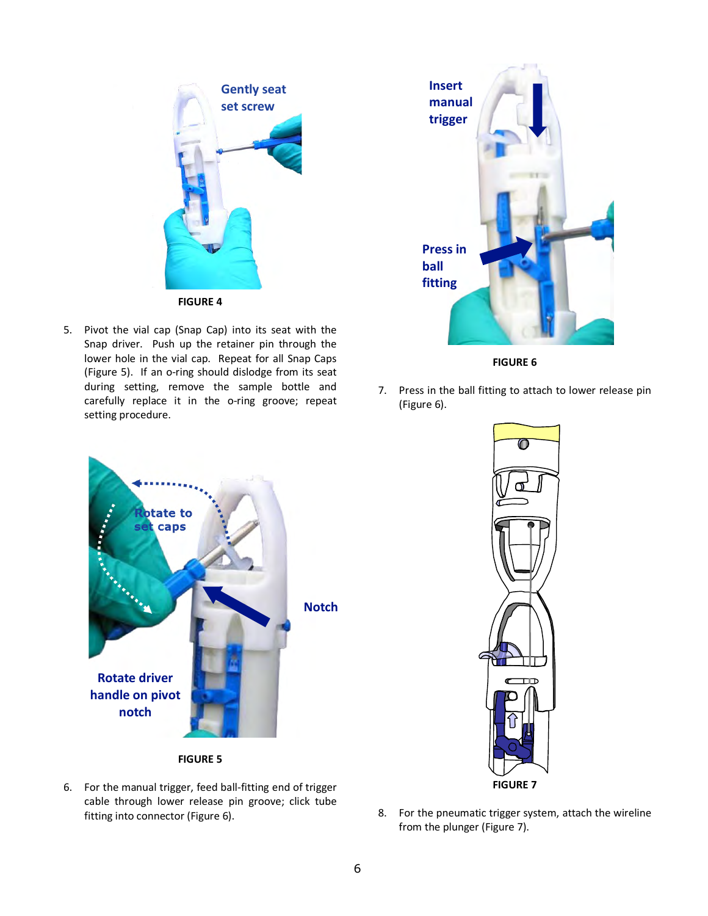

5. Pivot the vial cap (Snap Cap) into its seat with the Snap driver. Push up the retainer pin through the lower hole in the vial cap. Repeat for all Snap Caps (Figure 5). If an o-ring should dislodge from its seat during setting, remove the sample bottle and carefully replace it in the o-ring groove; repeat setting procedure.



**FIGURE 6**

7. Press in the ball fitting to attach to lower release pin (Figure 6).





6. For the manual trigger, feed ball-fitting end of trigger cable through lower release pin groove; click tube fitting into connector (Figure 6).



8. For the pneumatic trigger system, attach the wireline from the plunger (Figure 7).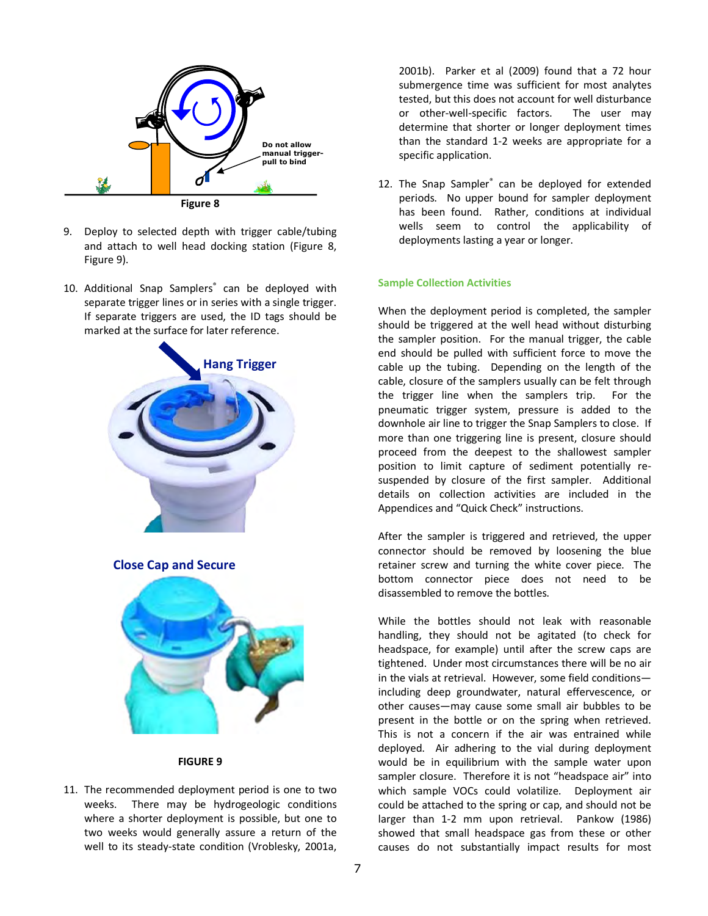

- 9. Deploy to selected depth with trigger cable/tubing and attach to well head docking station (Figure 8, Figure 9).
- 10. Additional Snap Samplers® can be deployed with separate trigger lines or in series with a single trigger. If separate triggers are used, the ID tags should be marked at the surface for later reference.



**Close Cap and Secure**



#### **FIGURE 9**

11. The recommended deployment period is one to two weeks. There may be hydrogeologic conditions where a shorter deployment is possible, but one to two weeks would generally assure a return of the well to its steady-state condition (Vroblesky, 2001a,

2001b). Parker et al (2009) found that a 72 hour submergence time was sufficient for most analytes tested, but this does not account for well disturbance or other-well-specific factors. The user may determine that shorter or longer deployment times than the standard 1-2 weeks are appropriate for a specific application.

12. The Snap Sampler<sup>®</sup> can be deployed for extended periods. No upper bound for sampler deployment has been found. Rather, conditions at individual wells seem to control the applicability of deployments lasting a year or longer.

#### **Sample Collection Activities**

When the deployment period is completed, the sampler should be triggered at the well head without disturbing the sampler position. For the manual trigger, the cable end should be pulled with sufficient force to move the cable up the tubing. Depending on the length of the cable, closure of the samplers usually can be felt through the trigger line when the samplers trip. For the pneumatic trigger system, pressure is added to the downhole air line to trigger the Snap Samplers to close. If more than one triggering line is present, closure should proceed from the deepest to the shallowest sampler position to limit capture of sediment potentially resuspended by closure of the first sampler. Additional details on collection activities are included in the Appendices and "Quick Check" instructions.

After the sampler is triggered and retrieved, the upper connector should be removed by loosening the blue retainer screw and turning the white cover piece. The bottom connector piece does not need to be disassembled to remove the bottles.

While the bottles should not leak with reasonable handling, they should not be agitated (to check for headspace, for example) until after the screw caps are tightened. Under most circumstances there will be no air in the vials at retrieval. However, some field conditions including deep groundwater, natural effervescence, or other causes—may cause some small air bubbles to be present in the bottle or on the spring when retrieved. This is not a concern if the air was entrained while deployed. Air adhering to the vial during deployment would be in equilibrium with the sample water upon sampler closure. Therefore it is not "headspace air" into which sample VOCs could volatilize. Deployment air could be attached to the spring or cap, and should not be larger than 1-2 mm upon retrieval. Pankow (1986) showed that small headspace gas from these or other causes do not substantially impact results for most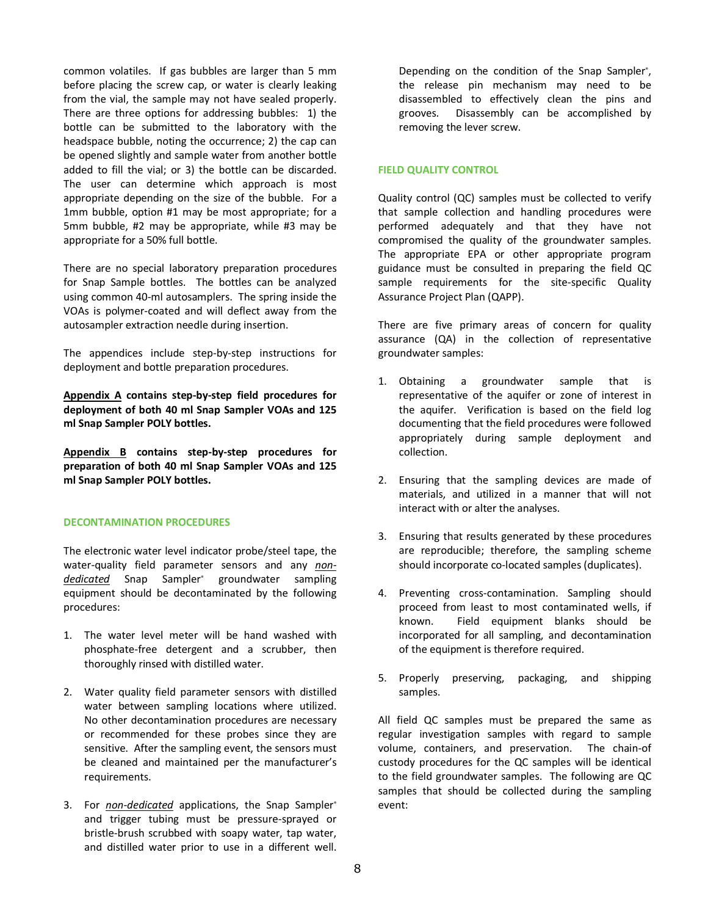common volatiles. If gas bubbles are larger than 5 mm before placing the screw cap, or water is clearly leaking from the vial, the sample may not have sealed properly. There are three options for addressing bubbles: 1) the bottle can be submitted to the laboratory with the headspace bubble, noting the occurrence; 2) the cap can be opened slightly and sample water from another bottle added to fill the vial; or 3) the bottle can be discarded. The user can determine which approach is most appropriate depending on the size of the bubble. For a 1mm bubble, option #1 may be most appropriate; for a 5mm bubble, #2 may be appropriate, while #3 may be appropriate for a 50% full bottle.

There are no special laboratory preparation procedures for Snap Sample bottles. The bottles can be analyzed using common 40-ml autosamplers. The spring inside the VOAs is polymer-coated and will deflect away from the autosampler extraction needle during insertion.

The appendices include step-by-step instructions for deployment and bottle preparation procedures.

**Appendix A contains step-by-step field procedures for deployment of both 40 ml Snap Sampler VOAs and 125 ml Snap Sampler POLY bottles.**

**Appendix B contains step-by-step procedures for preparation of both 40 ml Snap Sampler VOAs and 125 ml Snap Sampler POLY bottles.**

### **DECONTAMINATION PROCEDURES**

The electronic water level indicator probe/steel tape, the water-quality field parameter sensors and any *nondedicated* Snap Sampler® groundwater sampling equipment should be decontaminated by the following procedures:

- 1. The water level meter will be hand washed with phosphate-free detergent and a scrubber, then thoroughly rinsed with distilled water.
- 2. Water quality field parameter sensors with distilled water between sampling locations where utilized. No other decontamination procedures are necessary or recommended for these probes since they are sensitive. After the sampling event, the sensors must be cleaned and maintained per the manufacturer's requirements.
- 3. For *non-dedicated* applications, the Snap Sampler® and trigger tubing must be pressure-sprayed or bristle-brush scrubbed with soapy water, tap water, and distilled water prior to use in a different well.

Depending on the condition of the Snap Sampler<sup>®</sup>, the release pin mechanism may need to be disassembled to effectively clean the pins and grooves. Disassembly can be accomplished by removing the lever screw.

#### **FIELD QUALITY CONTROL**

Quality control (QC) samples must be collected to verify that sample collection and handling procedures were performed adequately and that they have not compromised the quality of the groundwater samples. The appropriate EPA or other appropriate program guidance must be consulted in preparing the field QC sample requirements for the site-specific Quality Assurance Project Plan (QAPP).

There are five primary areas of concern for quality assurance (QA) in the collection of representative groundwater samples:

- 1. Obtaining a groundwater sample that is representative of the aquifer or zone of interest in the aquifer. Verification is based on the field log documenting that the field procedures were followed appropriately during sample deployment and collection.
- 2. Ensuring that the sampling devices are made of materials, and utilized in a manner that will not interact with or alter the analyses.
- 3. Ensuring that results generated by these procedures are reproducible; therefore, the sampling scheme should incorporate co-located samples (duplicates).
- 4. Preventing cross-contamination. Sampling should proceed from least to most contaminated wells, if known. Field equipment blanks should be incorporated for all sampling, and decontamination of the equipment is therefore required.
- 5. Properly preserving, packaging, and shipping samples.

All field QC samples must be prepared the same as regular investigation samples with regard to sample volume, containers, and preservation. The chain-of custody procedures for the QC samples will be identical to the field groundwater samples. The following are QC samples that should be collected during the sampling event: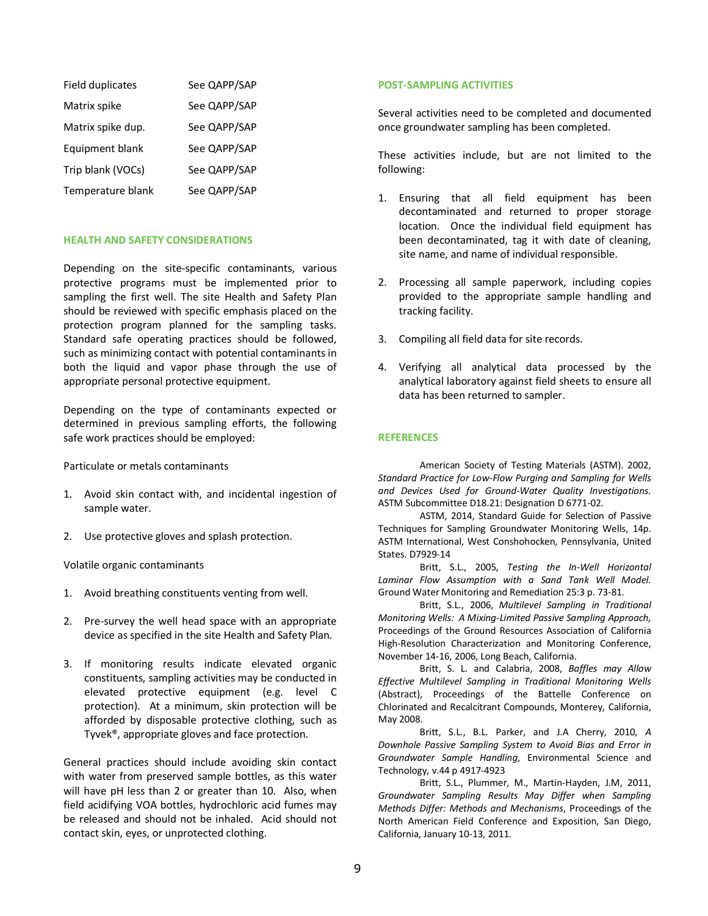| Field duplicates  | See QAPP/SAP |
|-------------------|--------------|
| Matrix spike      | See QAPP/SAP |
| Matrix spike dup. | See QAPP/SAP |
| Equipment blank   | See QAPP/SAP |
| Trip blank (VOCs) | See QAPP/SAP |
| Temperature blank | See QAPP/SAP |

### **HEALTH AND SAFETY CONSIDERATIONS**

Depending on the site-specific contaminants, various protective programs must be implemented prior to sampling the first well. The site Health and Safety Plan should be reviewed with specific emphasis placed on the protection program planned for the sampling tasks. Standard safe operating practices should be followed, such as minimizing contact with potential contaminants in both the liquid and vapor phase through the use of appropriate personal protective equipment.

Depending on the type of contaminants expected or determined in previous sampling efforts, the following safe work practices should be employed:

Particulate or metals contaminants

- 1. Avoid skin contact with, and incidental ingestion of sample water.
- 2. Use protective gloves and splash protection.

Volatile organic contaminants

- 1. Avoid breathing constituents venting from well.
- 2. Pre-survey the well head space with an appropriate device as specified in the site Health and Safety Plan.
- 3. If monitoring results indicate elevated organic constituents, sampling activities may be conducted in elevated protective equipment (e.g. level C protection). At a minimum, skin protection will be afforded by disposable protective clothing, such as Tyvek®, appropriate gloves and face protection.

General practices should include avoiding skin contact with water from preserved sample bottles, as this water will have pH less than 2 or greater than 10. Also, when field acidifying VOA bottles, hydrochloric acid fumes may be released and should not be inhaled. Acid should not contact skin, eyes, or unprotected clothing.

#### **POST-SAMPLING ACTIVITIES**

Several activities need to be completed and documented once groundwater sampling has been completed.

These activities include, but are not limited to the following:

- 1. Ensuring that all field equipment has been decontaminated and returned to proper storage location. Once the individual field equipment has been decontaminated, tag it with date of cleaning, site name, and name of individual responsible.
- 2. Processing all sample paperwork, including copies provided to the appropriate sample handling and tracking facility.
- 3. Compiling all field data for site records.
- 4. Verifying all analytical data processed by the analytical laboratory against field sheets to ensure all data has been returned to sampler.

## **REFERENCES**

American Society of Testing Materials (ASTM). 2002, *Standard Practice for Low-Flow Purging and Sampling for Wells and Devices Used for Ground-Water Quality Investigations.* ASTM Subcommittee D18.21: Designation D 6771-02.

ASTM, 2014, Standard Guide for Selection of Passive Techniques for Sampling Groundwater Monitoring Wells, 14p. ASTM International, West Conshohocken, Pennsylvania, United States. D7929-14

Britt, S.L., 2005, *Testing the In-Well Horizontal Laminar Flow Assumption with a Sand Tank Well Model.* Ground Water Monitoring and Remediation 25:3 p. 73-81.

Britt, S.L., 2006, *Multilevel Sampling in Traditional Monitoring Wells: A Mixing-Limited Passive Sampling Approach,* Proceedings of the Ground Resources Association of California High-Resolution Characterization and Monitoring Conference, November 14-16, 2006, Long Beach, California.

Britt, S. L. and Calabria, 2008, *Baffles may Allow Effective Multilevel Sampling in Traditional Monitoring Wells* (Abstract), Proceedings of the Battelle Conference on Chlorinated and Recalcitrant Compounds, Monterey, California, May 2008.

Britt, S.L., B.L. Parker, and J.A Cherry, 2010, *A Downhole Passive Sampling System to Avoid Bias and Error in Groundwater Sample Handling*, Environmental Science and Technology, v.44 p 4917-4923

Britt, S.L., Plummer, M., Martin-Hayden, J.M, 2011, *Groundwater Sampling Results May Differ when Sampling Methods Differ: Methods and Mechanisms*, Proceedings of the North American Field Conference and Exposition, San Diego, California, January 10-13, 2011.